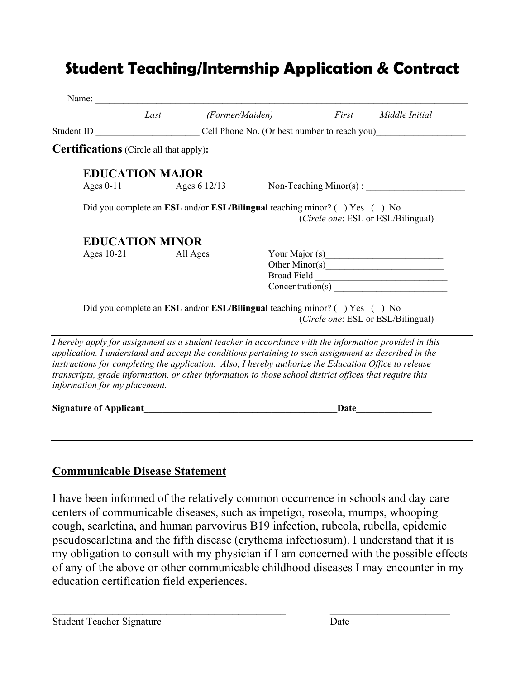## **Student Teaching/Internship Application & Contract**

| Name:                                                                                                                                                                                                                                                                                                                                                                                                                                                                |                        |                 |                                                                           |       |                                              |
|----------------------------------------------------------------------------------------------------------------------------------------------------------------------------------------------------------------------------------------------------------------------------------------------------------------------------------------------------------------------------------------------------------------------------------------------------------------------|------------------------|-----------------|---------------------------------------------------------------------------|-------|----------------------------------------------|
|                                                                                                                                                                                                                                                                                                                                                                                                                                                                      | Last                   | (Former/Maiden) |                                                                           | First | Middle Initial                               |
| Student ID                                                                                                                                                                                                                                                                                                                                                                                                                                                           |                        |                 |                                                                           |       | Cell Phone No. (Or best number to reach you) |
| <b>Certifications</b> (Circle all that apply):                                                                                                                                                                                                                                                                                                                                                                                                                       |                        |                 |                                                                           |       |                                              |
|                                                                                                                                                                                                                                                                                                                                                                                                                                                                      | <b>EDUCATION MAJOR</b> |                 |                                                                           |       |                                              |
| Ages $0-11$                                                                                                                                                                                                                                                                                                                                                                                                                                                          | Ages 6 $12/13$         |                 |                                                                           |       | Non-Teaching $Minor(s)$ :                    |
|                                                                                                                                                                                                                                                                                                                                                                                                                                                                      |                        |                 | Did you complete an ESL and/or ESL/Bilingual teaching minor? () Yes () No |       | (Circle one: ESL or ESL/Bilingual)           |
|                                                                                                                                                                                                                                                                                                                                                                                                                                                                      | <b>EDUCATION MINOR</b> |                 |                                                                           |       |                                              |
| Ages $10-21$                                                                                                                                                                                                                                                                                                                                                                                                                                                         |                        | All Ages        |                                                                           |       |                                              |
|                                                                                                                                                                                                                                                                                                                                                                                                                                                                      |                        |                 |                                                                           |       |                                              |
|                                                                                                                                                                                                                                                                                                                                                                                                                                                                      |                        |                 |                                                                           |       |                                              |
|                                                                                                                                                                                                                                                                                                                                                                                                                                                                      |                        |                 |                                                                           |       |                                              |
|                                                                                                                                                                                                                                                                                                                                                                                                                                                                      |                        |                 | Did you complete an ESL and/or ESL/Bilingual teaching minor? () Yes () No |       | (Circle one: ESL or ESL/Bilingual)           |
| I hereby apply for assignment as a student teacher in accordance with the information provided in this<br>application. I understand and accept the conditions pertaining to such assignment as described in the<br>instructions for completing the application. Also, I hereby authorize the Education Office to release<br>transcripts, grade information, or other information to those school district offices that require this<br>information for my placement. |                        |                 |                                                                           |       |                                              |
| <b>Signature of Applicant</b>                                                                                                                                                                                                                                                                                                                                                                                                                                        |                        |                 |                                                                           | Date  |                                              |

## **Communicable Disease Statement**

I have been informed of the relatively common occurrence in schools and day care centers of communicable diseases, such as impetigo, roseola, mumps, whooping cough, scarletina, and human parvovirus B19 infection, rubeola, rubella, epidemic pseudoscarletina and the fifth disease (erythema infectiosum). I understand that it is my obligation to consult with my physician if I am concerned with the possible effects of any of the above or other communicable childhood diseases I may encounter in my education certification field experiences.

 $\frac{1}{2}$  ,  $\frac{1}{2}$  ,  $\frac{1}{2}$  ,  $\frac{1}{2}$  ,  $\frac{1}{2}$  ,  $\frac{1}{2}$  ,  $\frac{1}{2}$  ,  $\frac{1}{2}$  ,  $\frac{1}{2}$  ,  $\frac{1}{2}$  ,  $\frac{1}{2}$  ,  $\frac{1}{2}$  ,  $\frac{1}{2}$  ,  $\frac{1}{2}$  ,  $\frac{1}{2}$  ,  $\frac{1}{2}$  ,  $\frac{1}{2}$  ,  $\frac{1}{2}$  ,  $\frac{1$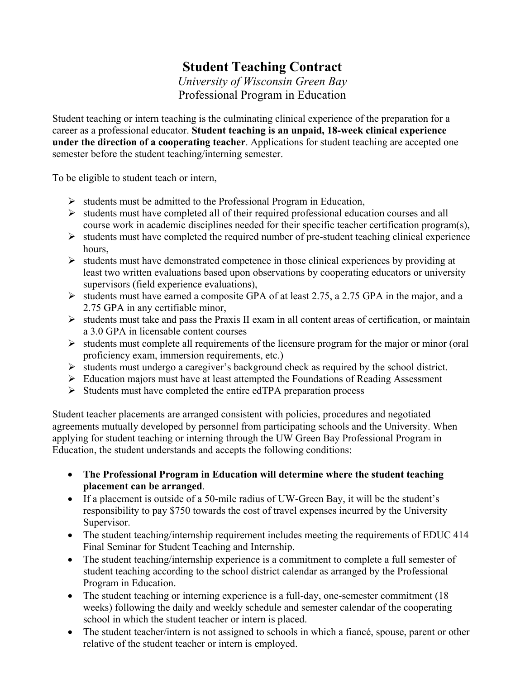## **Student Teaching Contract**

*University of Wisconsin Green Bay* Professional Program in Education

Student teaching or intern teaching is the culminating clinical experience of the preparation for a career as a professional educator. **Student teaching is an unpaid, 18-week clinical experience under the direction of a cooperating teacher**. Applications for student teaching are accepted one semester before the student teaching/interning semester.

To be eligible to student teach or intern,

- $\triangleright$  students must be admitted to the Professional Program in Education,
- $\triangleright$  students must have completed all of their required professional education courses and all course work in academic disciplines needed for their specific teacher certification program(s),
- $\triangleright$  students must have completed the required number of pre-student teaching clinical experience hours,
- $\triangleright$  students must have demonstrated competence in those clinical experiences by providing at least two written evaluations based upon observations by cooperating educators or university supervisors (field experience evaluations),
- $\triangleright$  students must have earned a composite GPA of at least 2.75, a 2.75 GPA in the major, and a 2.75 GPA in any certifiable minor,
- $\triangleright$  students must take and pass the Praxis II exam in all content areas of certification, or maintain a 3.0 GPA in licensable content courses
- $\triangleright$  students must complete all requirements of the licensure program for the major or minor (oral proficiency exam, immersion requirements, etc.)
- $\triangleright$  students must undergo a caregiver's background check as required by the school district.
- $\triangleright$  Education majors must have at least attempted the Foundations of Reading Assessment
- $\triangleright$  Students must have completed the entire edTPA preparation process

Student teacher placements are arranged consistent with policies, procedures and negotiated agreements mutually developed by personnel from participating schools and the University. When applying for student teaching or interning through the UW Green Bay Professional Program in Education, the student understands and accepts the following conditions:

- **The Professional Program in Education will determine where the student teaching placement can be arranged**.
- If a placement is outside of a 50-mile radius of UW-Green Bay, it will be the student's responsibility to pay \$750 towards the cost of travel expenses incurred by the University Supervisor.
- The student teaching/internship requirement includes meeting the requirements of EDUC 414 Final Seminar for Student Teaching and Internship.
- The student teaching/internship experience is a commitment to complete a full semester of student teaching according to the school district calendar as arranged by the Professional Program in Education.
- The student teaching or interning experience is a full-day, one-semester commitment (18) weeks) following the daily and weekly schedule and semester calendar of the cooperating school in which the student teacher or intern is placed.
- The student teacher/intern is not assigned to schools in which a fiancé, spouse, parent or other relative of the student teacher or intern is employed.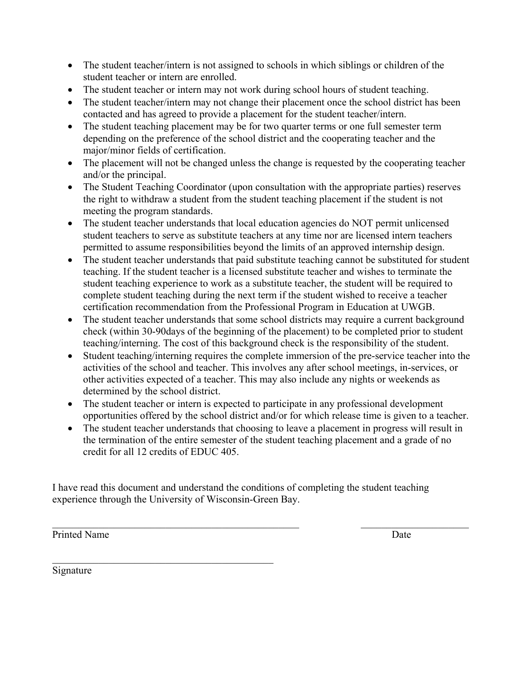- The student teacher/intern is not assigned to schools in which siblings or children of the student teacher or intern are enrolled.
- The student teacher or intern may not work during school hours of student teaching.
- The student teacher/intern may not change their placement once the school district has been contacted and has agreed to provide a placement for the student teacher/intern.
- The student teaching placement may be for two quarter terms or one full semester term depending on the preference of the school district and the cooperating teacher and the major/minor fields of certification.
- The placement will not be changed unless the change is requested by the cooperating teacher and/or the principal.
- The Student Teaching Coordinator (upon consultation with the appropriate parties) reserves the right to withdraw a student from the student teaching placement if the student is not meeting the program standards.
- The student teacher understands that local education agencies do NOT permit unlicensed student teachers to serve as substitute teachers at any time nor are licensed intern teachers permitted to assume responsibilities beyond the limits of an approved internship design.
- The student teacher understands that paid substitute teaching cannot be substituted for student teaching. If the student teacher is a licensed substitute teacher and wishes to terminate the student teaching experience to work as a substitute teacher, the student will be required to complete student teaching during the next term if the student wished to receive a teacher certification recommendation from the Professional Program in Education at UWGB.
- The student teacher understands that some school districts may require a current background check (within 30-90days of the beginning of the placement) to be completed prior to student teaching/interning. The cost of this background check is the responsibility of the student.
- Student teaching/interning requires the complete immersion of the pre-service teacher into the activities of the school and teacher. This involves any after school meetings, in-services, or other activities expected of a teacher. This may also include any nights or weekends as determined by the school district.
- The student teacher or intern is expected to participate in any professional development opportunities offered by the school district and/or for which release time is given to a teacher.
- The student teacher understands that choosing to leave a placement in progress will result in the termination of the entire semester of the student teaching placement and a grade of no credit for all 12 credits of EDUC 405.

 $\_$  , and the contribution of the contribution of  $\mathcal{L}_\mathcal{A}$  , and the contribution of  $\mathcal{L}_\mathcal{A}$  , and the contribution of  $\mathcal{L}_\mathcal{A}$ 

I have read this document and understand the conditions of completing the student teaching experience through the University of Wisconsin-Green Bay.

Printed Name Date Date Name Date Name Date Name Date Name Date Name Date Name Date Name Date Name Date Name Date Name Date Name On the U.S. Name On the U.S. Name On the U.S. Name On the U.S. Name On the U.S. Name On the U.

Signature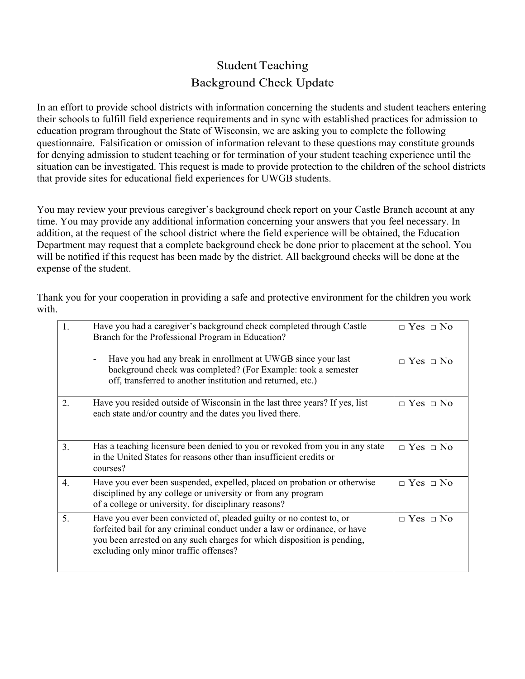## Student Teaching Background Check Update

In an effort to provide school districts with information concerning the students and student teachers entering their schools to fulfill field experience requirements and in sync with established practices for admission to education program throughout the State of Wisconsin, we are asking you to complete the following questionnaire. Falsification or omission of information relevant to these questions may constitute grounds for denying admission to student teaching or for termination of your student teaching experience until the situation can be investigated. This request is made to provide protection to the children of the school districts that provide sites for educational field experiences for UWGB students.

You may review your previous caregiver's background check report on your Castle Branch account at any time. You may provide any additional information concerning your answers that you feel necessary. In addition, at the request of the school district where the field experience will be obtained, the Education Department may request that a complete background check be done prior to placement at the school. You will be notified if this request has been made by the district. All background checks will be done at the expense of the student.

Thank you for your cooperation in providing a safe and protective environment for the children you work with.

| 1. | Have you had a caregiver's background check completed through Castle<br>Branch for the Professional Program in Education?                                                                                                                                              | $\Box$ Yes $\Box$ No |
|----|------------------------------------------------------------------------------------------------------------------------------------------------------------------------------------------------------------------------------------------------------------------------|----------------------|
|    | Have you had any break in enrollment at UWGB since your last<br>background check was completed? (For Example: took a semester<br>off, transferred to another institution and returned, etc.)                                                                           | $\Box$ Yes $\Box$ No |
| 2. | Have you resided outside of Wisconsin in the last three years? If yes, list<br>each state and/or country and the dates you lived there.                                                                                                                                | $\Box$ Yes $\Box$ No |
| 3. | Has a teaching licensure been denied to you or revoked from you in any state<br>in the United States for reasons other than insufficient credits or<br>courses?                                                                                                        | $\Box$ Yes $\Box$ No |
| 4. | Have you ever been suspended, expelled, placed on probation or otherwise<br>disciplined by any college or university or from any program<br>of a college or university, for disciplinary reasons?                                                                      | $\Box$ Yes $\Box$ No |
| 5. | Have you ever been convicted of, pleaded guilty or no contest to, or<br>forfeited bail for any criminal conduct under a law or ordinance, or have<br>you been arrested on any such charges for which disposition is pending,<br>excluding only minor traffic offenses? | $\Box$ Yes $\Box$ No |